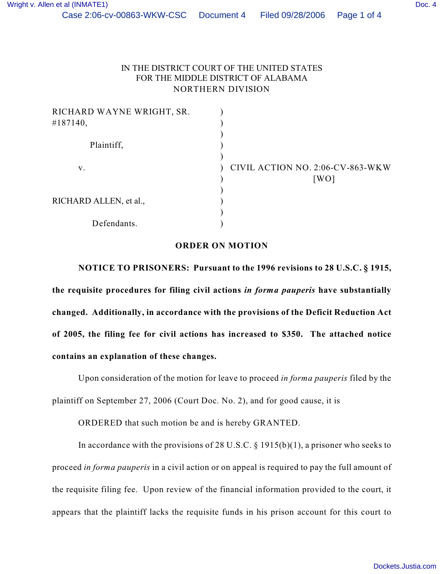## IN THE DISTRICT COURT OF THE UNITED STATES FOR THE MIDDLE DISTRICT OF ALABAMA NORTHERN DIVISION

| RICHARD WAYNE WRIGHT, SR. |                                  |
|---------------------------|----------------------------------|
| #187140,                  |                                  |
|                           |                                  |
| Plaintiff,                |                                  |
|                           |                                  |
| v.                        | CIVIL ACTION NO. 2:06-CV-863-WKW |
|                           | [WO]                             |
|                           |                                  |
| RICHARD ALLEN, et al.,    |                                  |
|                           |                                  |
| Defendants.               |                                  |
|                           |                                  |

## **ORDER ON MOTION**

**NOTICE TO PRISONERS: Pursuant to the 1996 revisions to 28 U.S.C. § 1915, the requisite procedures for filing civil actions** *in forma pauperis* **have substantially changed. Additionally, in accordance with the provisions of the Deficit Reduction Act of 2005, the filing fee for civil actions has increased to \$350. The attached notice contains an explanation of these changes.**

Upon consideration of the motion for leave to proceed *in forma pauperis* filed by the plaintiff on September 27, 2006 (Court Doc. No. 2), and for good cause, it is

ORDERED that such motion be and is hereby GRANTED.

In accordance with the provisions of 28 U.S.C.  $\S$  1915(b)(1), a prisoner who seeks to proceed *in forma pauperis* in a civil action or on appeal is required to pay the full amount of the requisite filing fee. Upon review of the financial information provided to the court, it appears that the plaintiff lacks the requisite funds in his prison account for this court to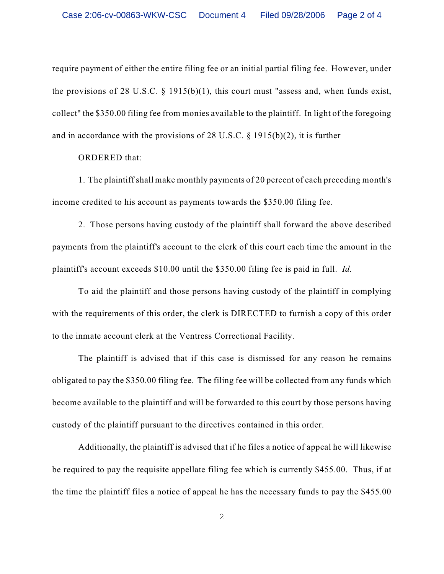require payment of either the entire filing fee or an initial partial filing fee. However, under the provisions of 28 U.S.C. § 1915(b)(1), this court must "assess and, when funds exist, collect" the \$350.00 filing fee from monies available to the plaintiff. In light of the foregoing and in accordance with the provisions of 28 U.S.C. § 1915(b)(2), it is further

ORDERED that:

1. The plaintiff shall make monthly payments of 20 percent of each preceding month's income credited to his account as payments towards the \$350.00 filing fee.

2. Those persons having custody of the plaintiff shall forward the above described payments from the plaintiff's account to the clerk of this court each time the amount in the plaintiff's account exceeds \$10.00 until the \$350.00 filing fee is paid in full. *Id.* 

To aid the plaintiff and those persons having custody of the plaintiff in complying with the requirements of this order, the clerk is DIRECTED to furnish a copy of this order to the inmate account clerk at the Ventress Correctional Facility.

The plaintiff is advised that if this case is dismissed for any reason he remains obligated to pay the \$350.00 filing fee. The filing fee will be collected from any funds which become available to the plaintiff and will be forwarded to this court by those persons having custody of the plaintiff pursuant to the directives contained in this order.

Additionally, the plaintiff is advised that if he files a notice of appeal he will likewise be required to pay the requisite appellate filing fee which is currently \$455.00. Thus, if at the time the plaintiff files a notice of appeal he has the necessary funds to pay the \$455.00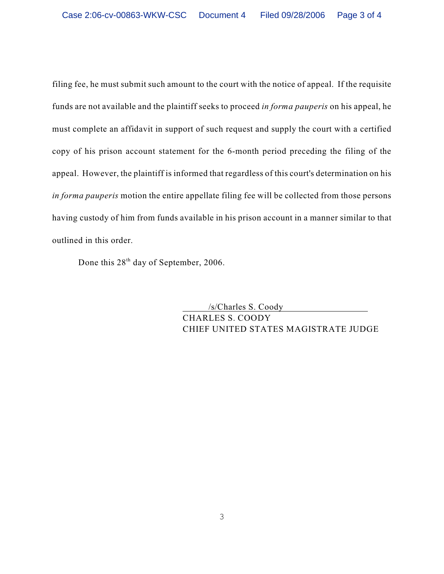filing fee, he must submit such amount to the court with the notice of appeal. If the requisite funds are not available and the plaintiff seeks to proceed *in forma pauperis* on his appeal, he must complete an affidavit in support of such request and supply the court with a certified copy of his prison account statement for the 6-month period preceding the filing of the appeal. However, the plaintiff is informed that regardless of this court's determination on his *in forma pauperis* motion the entire appellate filing fee will be collected from those persons having custody of him from funds available in his prison account in a manner similar to that outlined in this order.

Done this  $28<sup>th</sup>$  day of September, 2006.

 /s/Charles S. Coody CHARLES S. COODY CHIEF UNITED STATES MAGISTRATE JUDGE